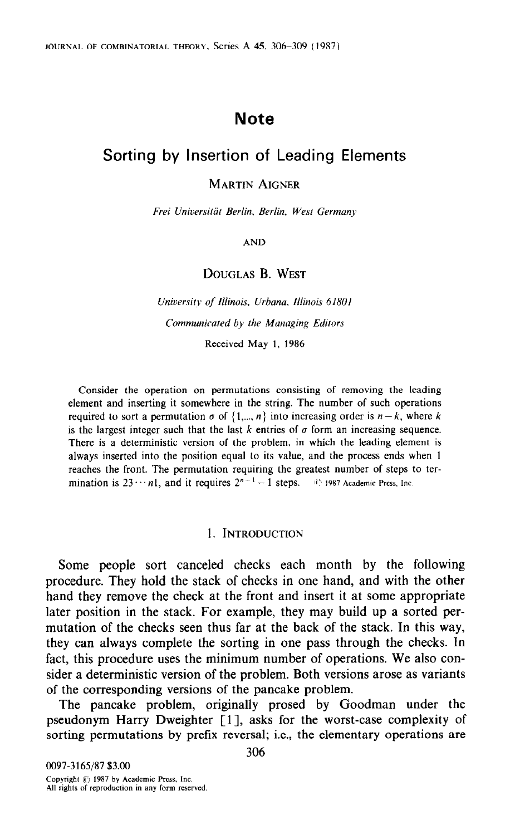# **Note**

# Sorting by Insertion of Leading Elements

### MARTIN AIGNER

Frei Universitiir Berlin, Berlin, West Germany

AND

# DOUGLAS B. WEST

University of Illinois, Urbana, Illinois 61801 Communicated by the Managing Editors

Received May 1, 1986

Consider the operation on permutations consisting of removing the leading element and inserting it somewhere in the string. The number of such operations required to sort a permutation  $\sigma$  of  $\{1,...,n\}$  into increasing order is  $n-k$ , where k is the largest integer such that the last k entries of  $\sigma$  form an increasing sequence. There is a deterministic version of the problem, in which the leading element is always inserted into the position equal to its value, and the process ends when 1 reaches the front. The permutation requiring the greatest number of steps to termination is  $23 \cdots n1$ , and it requires  $2^{n-1} - 1$  steps.  $40 \cdot 1987$  Academic Press, Inc.

#### 1. INTRODUCTION

Some people sort canceled checks each month by the following procedure. They hold the stack of checks in one hand, and with the other hand they remove the check at the front and insert it at some appropriate later position in the stack. For example, they may build up a sorted permutation of the checks seen thus far at the back of the stack. In this way, they can always complete the sorting in one pass through the checks. In fact, this procedure uses the minimum number of operations. We also consider a deterministic version of the problem. Both versions arose as variants of the corresponding versions of the pancake problem.

The pancake problem, originally prosed by Goodman under the pseudonym Harry Dweighter [ 11, asks for the worst-case complexity of sorting permutations by prefix reversal; i.e., the elementary operations are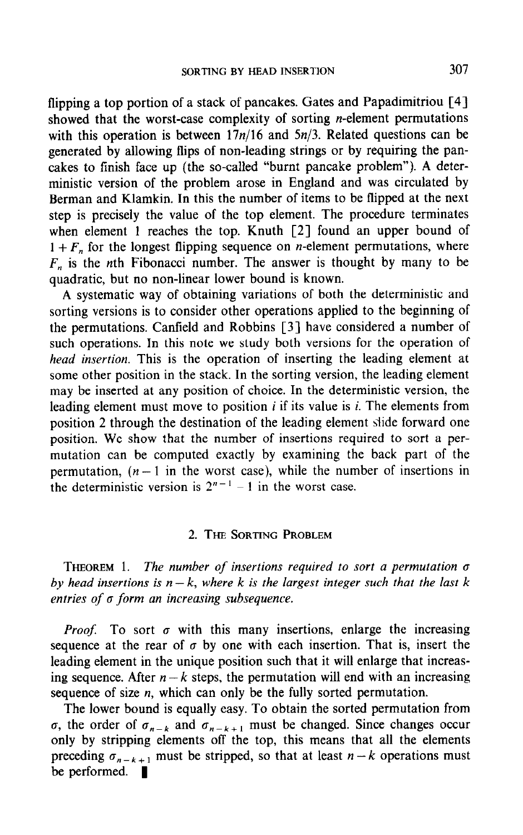flipping a top portion of a stack of pancakes. Gates and Papadimitriou [4] showed that the worst-case complexity of sorting *n*-element permutations with this operation is between  $17n/16$  and  $5n/3$ . Related questions can be generated by allowing flips of non-leading strings or by requiring the pancakes to finish face up (the so-called "burnt pancake problem"). A deterministic version of the problem arose in England and was circulated by Berman and Klamkin. In this the number of items to be flipped at the next step is precisely the value of the top element. The procedure terminates when element 1 reaches the top. Knuth [2] found an upper bound of  $1 + F<sub>n</sub>$  for the longest flipping sequence on *n*-element permutations, where  $F_n$  is the nth Fibonacci number. The answer is thought by many to be quadratic, but no non-linear lower bound is known.

A systematic way of obtaining variations of both the deterministic and sorting versions is to consider other operations applied to the beginning of the permutations. Canfield and Robbins [3] have considered a number of such operations. In this note we study both versions for the operation of head insertion. This is the operation of inserting the leading element at some other position in the stack. In the sorting version, the leading element may be inserted at any position of choice. In the deterministic version, the leading element must move to position  $i$  if its value is  $i$ . The elements from position 2 through the destination of the leading element slide forward one position. We show that the number of insertions required to sort a permutation can be computed exactly by examining the back part of the permutation,  $(n - 1)$  in the worst case), while the number of insertions in the deterministic version is  $2^{n-1} - 1$  in the worst case.

#### 2. THE SORTING PROBLEM

THEOREM 1. The number of insertions required to sort a permutation  $\sigma$ by head insertions is  $n - k$ , where k is the largest integer such that the last k entries of  $\sigma$  form an increasing subsequence.

*Proof.* To sort  $\sigma$  with this many insertions, enlarge the increasing sequence at the rear of  $\sigma$  by one with each insertion. That is, insert the sequence at the real of  $\sigma$  of one with each theorition. That is, insert that it will entantly that it will entantly increasing sequence in the unique position such that it will emalge that increasing ing sequence. After  $n - k$  steps, the permutation will end with an increasing sequence of size *n*, which can only be the fully sorted permutation.

The lower bound is equally easy. To obtain the sorted permutation from ric rower oculia is equally easy. To cotall the sorted permutation from o, the order of  $v_{n-k}$  and  $v_{n-k+1}$  must be enanged. Since enanges occur precedence of the stripping elements on the top, this means that an the elements preceding  $\sigma_{n-k+1}$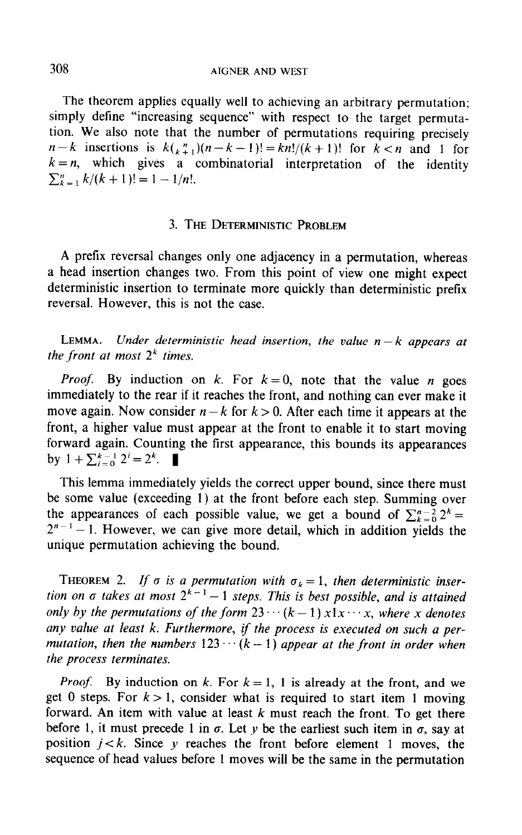The theorem applies equally well to achieving an arbitrary permutation; simply define "increasing sequence" with respect to the target permutation. We also note that the number of permutations requiring precisely  $n-k$  insertions is  $k\binom{n}{k+1}(n-k-1)! = kn!/(k+1)!$  for  $k < n$  and 1 for  $k = n$ , which gives a combinatorial interpretation of the identity  $\sum_{k=1}^n k/(k+1)! = 1 - 1/n!$ .

# 3. THE DETERMINISTIC PROBLEM

A prefix reversal changes only one adjacency in a permutation, whereas a head insertion changes two. From this point of view one might expect deterministic insertion to terminate more quickly than deterministic prefix reversal. However, this is not the case.

LEMMA. Under deterministic head insertion, the value  $n-k$  appears at the front at most  $2<sup>k</sup>$  times.

*Proof.* By induction on k. For  $k = 0$ , note that the value n goes immediately to the rear if it reaches the front, and nothing can ever make it move again. Now consider  $n - k$  for  $k > 0$ . After each time it appears at the front, a higher value must appear at the front to enable it to start moving forward again. Counting the first appearance, this bounds its appearances by  $1 + \sum_{i=0}^{k-1} 2^i = 2^k$ .

This lemma immediately yields the correct upper bound, since there must be some value (exceeding 1) at the front before each step. Summing over the appearances of each possible value, we get a bound of  $\sum_{k=0}^{n-2} 2^k =$  $2^{n-1} - 1$ . However, we can give more detail, which in addition yields the unique permutation achieving the bound.

THEOREM 2. If  $\sigma$  is a permutation with  $\sigma_k = 1$ , then deterministic insertion on  $\sigma$  takes at most  $2^{k-1}-1$  steps. This is best possible, and is attained only by the permutations of the form  $23 \cdots (k-1) x 1 x \cdots x$ , where x denotes any value at least k. Furthermore, if the process is executed on such a permutation, then the numbers  $123 \cdots (k-1)$  appear at the front in order when the process terminates.

*Proof.* By induction on k. For  $k = 1$ , 1 is already at the front, and we get 0 steps. For  $k > 1$ , consider what is required to start item 1 moving forward. An item with value at least  $k$  must reach the front. To get there before 1, it must precede 1 in  $\sigma$ . Let y be the earliest such item in  $\sigma$ , say at position  $j < k$ . Since  $\gamma$  reaches the front before element 1 moves, the sequence of head values before 1 moves will be the same in the permutation